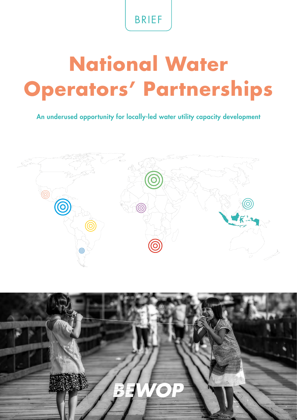## BRIEF

# **National Water Operators' Partnerships**

An underused opportunity for locally-led water utility capacity development



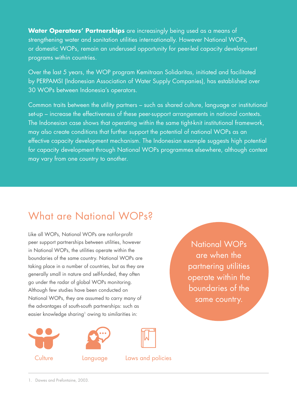**Water Operators' Partnerships** are increasingly being used as a means of strengthening water and sanitation utilities internationally. However National WOPs, or domestic WOPs, remain an underused opportunity for peer-led capacity development programs within countries.

Over the last 5 years, the WOP program Kemitraan Solidaritas, initiated and facilitated by PERPAMSI (Indonesian Association of Water Supply Companies), has established over 30 WOPs between Indonesia's operators.

Common traits between the utility partners – such as shared culture, language or institutional set-up – increase the effectiveness of these peer-support arrangements in national contexts. The Indonesian case shows that operating within the same tight-knit institutional framework, may also create conditions that further support the potential of national WOPs as an effective capacity development mechanism. The Indonesian example suggests high potential for capacity development through National WOPs programmes elsewhere, although context may vary from one country to another.

## What are National WOPs?

Like all WOPs, National WOPs are not-for-profit peer support partnerships between utilities, however in National WOPs, the utilities operate within the boundaries of the same country. National WOPs are taking place in a number of countries, but as they are generally small in nature and self-funded, they often go under the radar of global WOPs monitoring. Although few studies have been conducted on National WOPs, they are assumed to carry many of the advantages of south-south partnerships: such as easier knowledge sharing<sup>1</sup> owing to similarities in:



National WOPs are when the partnering utilities operate within the boundaries of the same country.

1. Dawes and Prefontaine, 2003.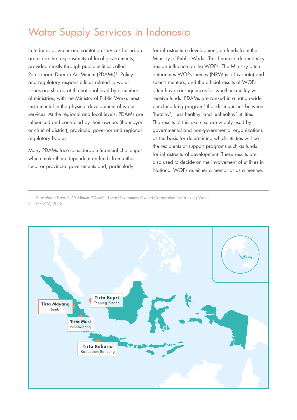## Water Supply Services in Indonesia

In Indonesia, water and sanitation services for urban areas are the responsibility of local governments, provided mostly through public utilities called Perusahaan Daerah Air Minum (PDAMs)<sup>2</sup>. Policy and regulatory responsibilities related to water issues are shared at the national level by a number of ministries, with the Ministry of Public Works most instrumental in the physical development of water services. At the regional and local levels, PDAMs are influenced and controlled by their owners (the mayor or chief of district), provincial governor and regional regulatory bodies.

Many PDAMs face considerable financial challenges which make them dependent on funds from either local or provincial governments and, particularly

for infrastructure development, on funds from the Ministry of Public Works. This financial dependency has an influence on the WOPs. The Ministry often determines WOPs themes (NRW is a favourite) and selects mentors, and the official results of WOPs often have consequences for whether a utility will receive funds. PDAMs are ranked in a nation-wide benchmarking program3 that distinguishes between 'healthy', 'less healthy' and 'unhealthy' utilities. The results of this exercise are widely used by governmental and non-governmental organizations as the basis for determining which utilities will be the recipients of support programs such as funds for infrastructural development. These results are also used to decide on the involvement of utilities in National WOPs as either a mentor or as a mentee.

2. *Perusahaan Daerah Air Minum (PDAM)* – Local Government-Owned Corporation for Drinking Water.

3. BPPSAM, 2013.

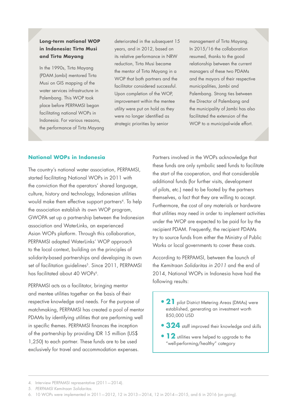#### **Long-term national WOP in Indonesia: Tirta Musi and Tirta Mayang**

In the 1990s, Tirta Mayang (PDAM Jambi) mentored Tirta Musi on GIS mapping of the water services infrastructure in Palembang. This WOP took place before PERPAMSI began facilitating national WOPs in Indonesia. For various reasons, the performance of Tirta Mayang deteriorated in the subsequent 15 years, and in 2012, based on its relative performance in NRW reduction, Tirta Musi became the mentor of Tirta Mayang in a WOP that both partners and the facilitator considered successful. Upon completion of the WOP, improvement within the mentee utility were put on hold as they were no longer identified as strategic priorities by senior

management of Tirta Mayang. In 2015/16 the collaboration resumed, thanks to the good relationship between the current managers of these two PDAMs and the mayors of their respective municipalities, Jambi and Palembang. Strong ties between the Director of Palembang and the municipality of Jambi has also facilitated the extension of the WOP to a municipal-wide effort.

#### **National WOPs in Indonesia**

The country's national water association, PERPAMSI, started facilitating National WOPs in 2011 with the conviction that the operators' shared language, culture, history and technology, Indonesian utilities would make them effective support partners<sup>4</sup>. To help the association establish its own WOP program, GWOPA set up a partnership between the Indonesian association and WaterLinks, an experienced Asian WOPs platform. Through this collaboration, PERPAMSI adapted WaterLinks' WOP approach to the local context, building on the principles of solidarity-based partnerships and developing its own set of facilitation guidelines<sup>5</sup>. Since 2011, PERPAMSI has facilitated about 40 WOPs<sup>6</sup>.

PERPAMSI acts as a facilitator, bringing mentor and mentee utilities together on the basis of their respective knowledge and needs. For the purpose of matchmaking, PERPAMSI has created a pool of mentor PDAMs by identifying utilities that are performing well in specific themes. PERPAMSI finances the inception of the partnership by providing IDR 15 million (US\$ 1,250) to each partner. These funds are to be used exclusively for travel and accommodation expenses.

Partners involved in the WOPs acknowledge that these funds are only symbolic seed funds to facilitate the start of the cooperation, and that considerable additional funds (for further visits, development of pilots, etc.) need to be footed by the partners themselves, a fact that they are willing to accept. Furthermore, the cost of any materials or hardware that utilities may need in order to implement activities under the WOP are expected to be paid for by the recipient PDAM. Frequently, the recipient PDAMs try to source funds from either the Ministry of Public Works or local governments to cover these costs.

According to PERPAMSI, between the launch of the *Kemitraan Solidaritas in 2011* and the end of 2014, National WOPs in Indonesia have had the following results:

- **21** pilot District Metering Areas (DMAs) were established, generating an investment worth 850,000 USD
- **•324** staff improved their knowledge and skills
- **12** utilities were helped to upgrade to the "well-performing/healthy" category

<sup>4.</sup> Interview PERPAMSI representative (2011—2014).

<sup>5.</sup> *PERPAMSI Kemitraan Solidaritas.*

<sup>6.</sup> 10 WOPs were implemented in 2011—2012, 12 in 2013—2014, 12 in 2014—2015, and 6 in 2016 (on going).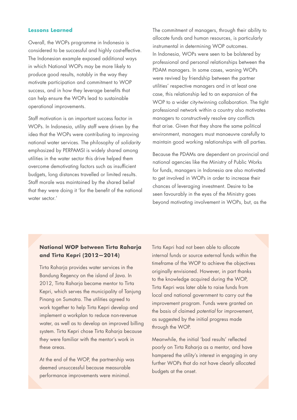#### **Lessons Learned**

Overall, the WOPs programme in Indonesia is considered to be successful and highly cost-effective. The Indonesian example exposed additional ways in which National WOPs may be more likely to produce good results, notably in the way they motivate participation and commitment to WOP success, and in how they leverage benefits that can help ensure the WOPs lead to sustainable operational improvements.

Staff motivation is an important success factor in WOPs. In Indonesia, utility staff were driven by the idea that the WOPs were contributing to improving national water services. The philosophy of *solidarity* emphasized by PERPAMSI is widely shared among utilities in the water sector this drive helped them overcome demotivating factors such as insufficient budgets, long distances travelled or limited results. Staff morale was maintained by the shared belief that they were doing it 'for the benefit of the national water sector.'

The commitment of managers, through their ability to allocate funds and human resources, is particularly instrumental in determining WOP outcomes. In Indonesia, WOPs were seen to be bolstered by professional and personal relationships between the PDAM managers. In some cases, waning WOPs were revived by friendship between the partner utilities' respective managers and in at least one case, this relationship led to an expansion of the WOP to a wider city-twinning collaboration. The tight professional network within a country also motivates managers to constructively resolve any conflicts that arise. Given that they share the same political environment, managers must manoeuvre carefully to maintain good working relationships with all parties.

Because the PDAMs are dependent on provincial and national agencies like the Ministry of Public Works for funds, managers in Indonesia are also motivated to get involved in WOPs in order to increase their chances of leveraging investment. Desire to be seen favourably in the eyes of the Ministry goes beyond motivating involvement in WOPs, but, as the

#### **National WOP between Tirta Raharja and Tirta Kepri (2012—2014)**

Tirta Raharja provides water services in the Bandung Regency on the island of Java. In 2012, Tirta Raharja became mentor to Tirta Kepri, which serves the municipality of Tanjung Pinang on Sumatra. The utilities agreed to work together to help Tirta Kepri develop and implement a workplan to reduce non-revenue water, as well as to develop an improved billing system. Tirta Kepri chose Tirta Raharja because they were familiar with the mentor's work in these areas.

At the end of the WOP, the partnership was deemed unsuccessful because measurable performance improvements were minimal.

Tirta Kepri had not been able to allocate internal funds or source external funds within the timeframe of the WOP to achieve the objectives originally envisioned. However, in part thanks to the knowledge acquired during the WOP, Tirta Kepri was later able to raise funds from local and national government to carry out the improvement program. Funds were granted on the basis of claimed *potential* for improvement, as suggested by the initial progress made through the WOP.

Meanwhile, the initial 'bad results' reflected poorly on Tirta Raharja as a mentor, and have hampered the utility's interest in engaging in any further WOPs that do not have clearly allocated budgets at the onset.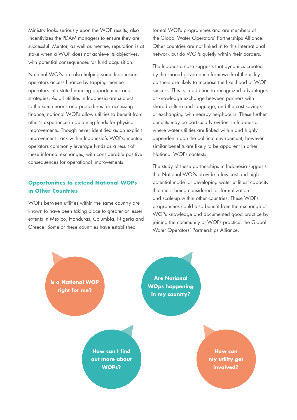Ministry looks seriously upon the WOP results, also incentivizes the PDAM managers to ensure they are successful. Mentor, as well as mentee, reputation is at stake when a WOP does not achieve its objectives, with potential consequences for fund acquisition.

National WOPs are also helping some Indonesian operators access finance by tapping mentee operators into state financing opportunities and strategies. As all utilities in Indonesia are subject to the same norms and procedures for accessing finance, national WOPs allow utilities to benefit from other's experience in obtaining funds for physical improvements. Though never identified as an explicit improvement track within Indonesia's WOPs, mentee operators commonly leverage funds as a result of these informal exchanges, with considerable positive consequences for operational improvements.

#### **Opportunities to extend National WOPs in Other Countries**

WOPs between utilities within the same country are known to have been taking place to greater or lesser extents in Mexico, Honduras, Columbia, Nigeria and Greece. Some of these countries have established

formal WOPs programmes and are members of the Global Water Operators' Partnerships Alliance. Other countries are not linked in to this international network but do WOPs quietly within their borders.

The Indonesia case suggests that dynamics created by the shared governance framework of the utility partners are likely to increase the likelihood of WOP success. This is in addition to recognized advantages of knowledge exchange between partners with shared culture and language, and the cost savings of exchanging with nearby neighbours. These further benefits may be particularly evident in Indonesia where water utilities are linked within and highly dependent upon the political environment, however similar benefits are likely to be apparent in other National WOPs contexts.

The study of these partnerships in Indonesia suggests that National WOPs provide a low-cost and highpotential mode for developing water utilities' capacity that merit being considered for formalization and scale-up within other countries. These WOPs programmes could also benefit from the exchange of WOPs knowledge and documented good practice by joining the community of WOPs practice, the Global Water Operators' Partnerships Alliance.

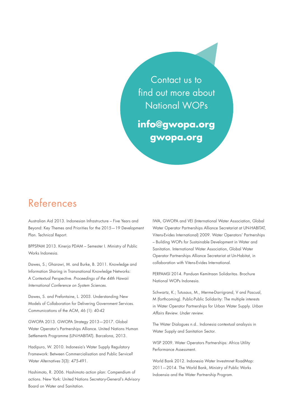Contact us to find out more about National WOPs

**info@gwopa.org gwopa.org**

### References

Australian Aid 2013. Indonesian Infrastructure – Five Years and Beyond: Key Themes and Priorities for the 2015—19 Development Plan. Technical Report.

BPPSPAM 2013. Kinerja PDAM – Semester I. Ministry of Public Works Indonesia.

Dawes, S.; Gharawi, M. and Burke, B. 2011. Knowledge and Information Sharing in Transnational Knowledge Networks: A Contextual Perspective. *Proceedings of the 44th Hawaii International Conference on System Sciences.*

Dawes, S. and Prefontaine, L. 2003. Understanding New Models of Collaboration for Delivering Government Services. Communications of the ACM, 46 (1): 40-42

GWOPA 2013. GWOPA Strategy 2013—2017. Global Water Operator's Partnerships Alliance. United Nations Human Settlements Programme (UN-HABITAT). Barcelona, 2013.

Hadipuro, W. 2010. Indonesia's Water Supply Regulatory Framework: Between Commercialisation and Public Service? *Water Alternatives* 3(3): 475-491.

Hashimoto, R. 2006. Hashimoto action plan: Compendium of actions. New York: United Nations Secretary-General's Advisory Board on Water and Sanitation.

IWA, GWOPA and VEI (International Water Association, Global Water Operator Partnerships Alliance Secretariat at UN-HABITAT, Vitens-Evides International) 2009. Water Operators' Partnerships – Building WOPs for Sustainable Development in Water and Sanitation. International Water Association, Global Water Operator Partnerships Alliance Secretariat at Un-Habitat, in collaboration with Vitens-Evides International.

PERPAMSI 2014. Panduan Kemitraan Solidaritas. Brochure National WOPs Indonesia.

Schwartz, K.; Tutusaus, M., Merme-Darrigrand, V and Pascual, M (forthcoming). Public-Public Solidarity: The multiple interests in Water Operator Partnerships for Urban Water Supply. *Urban Affairs Review. Under review.*

The Water Dialogues n.d.. Indonesia contextual analsysis in Water Supply and Sanitation Sector.

WSP 2009. Water Operators Partnerships: Africa Utility Performance Assessment.

World Bank 2012. Indonesia Water Investmnet RoadMap: 2011—2014. The World Bank, Ministry of Public Works Indoensia and the Water Partnership Program.